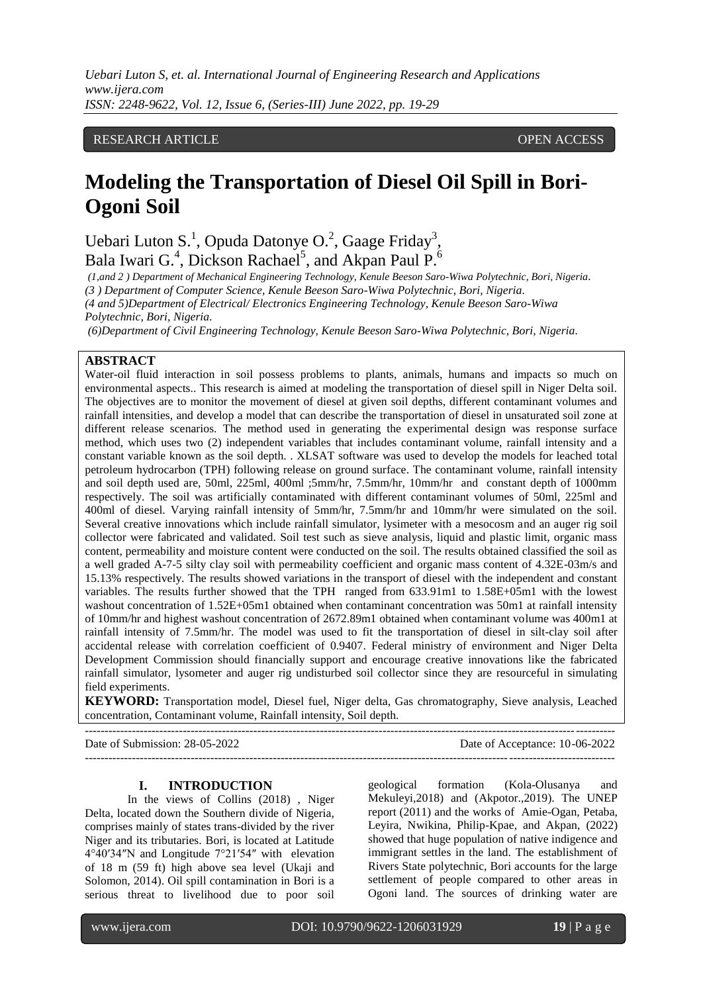# RESEARCH ARTICLE **CONTRACT ARTICLE** AND A SERVICE OPEN ACCESS

# **Modeling the Transportation of Diesel Oil Spill in Bori-Ogoni Soil**

Uebari Luton S.<sup>1</sup>, Opuda Datonye O.<sup>2</sup>, Gaage Friday<sup>3</sup>, Bala Iwari G.<sup>4</sup>, Dickson Rachael<sup>5</sup>, and Akpan Paul P.<sup>6</sup>

*(1,and 2 ) Department of Mechanical Engineering Technology, Kenule Beeson Saro-Wiwa Polytechnic, Bori, Nigeria. (3 ) Department of Computer Science, Kenule Beeson Saro-Wiwa Polytechnic, Bori, Nigeria. (4 and 5)Department of Electrical/ Electronics Engineering Technology, Kenule Beeson Saro-Wiwa Polytechnic, Bori, Nigeria.*

*(6)Department of Civil Engineering Technology, Kenule Beeson Saro-Wiwa Polytechnic, Bori, Nigeria.*

### **ABSTRACT**

Water-oil fluid interaction in soil possess problems to plants, animals, humans and impacts so much on environmental aspects.. This research is aimed at modeling the transportation of diesel spill in Niger Delta soil. The objectives are to monitor the movement of diesel at given soil depths, different contaminant volumes and rainfall intensities, and develop a model that can describe the transportation of diesel in unsaturated soil zone at different release scenarios. The method used in generating the experimental design was response surface method, which uses two (2) independent variables that includes contaminant volume, rainfall intensity and a constant variable known as the soil depth. . XLSAT software was used to develop the models for leached total petroleum hydrocarbon (TPH) following release on ground surface. The contaminant volume, rainfall intensity and soil depth used are, 50ml, 225ml, 400ml ;5mm/hr, 7.5mm/hr, 10mm/hr and constant depth of 1000mm respectively. The soil was artificially contaminated with different contaminant volumes of 50ml, 225ml and 400ml of diesel. Varying rainfall intensity of 5mm/hr, 7.5mm/hr and 10mm/hr were simulated on the soil. Several creative innovations which include rainfall simulator, lysimeter with a mesocosm and an auger rig soil collector were fabricated and validated. Soil test such as sieve analysis, liquid and plastic limit, organic mass content, permeability and moisture content were conducted on the soil. The results obtained classified the soil as a well graded A-7-5 silty clay soil with permeability coefficient and organic mass content of 4.32E-03m/s and 15.13% respectively. The results showed variations in the transport of diesel with the independent and constant variables. The results further showed that the TPH ranged from 633.91m1 to 1.58E+05m1 with the lowest washout concentration of 1.52E+05m1 obtained when contaminant concentration was 50m1 at rainfall intensity of 10mm/hr and highest washout concentration of 2672.89m1 obtained when contaminant volume was 400m1 at rainfall intensity of 7.5mm/hr. The model was used to fit the transportation of diesel in silt-clay soil after accidental release with correlation coefficient of 0.9407. Federal ministry of environment and Niger Delta Development Commission should financially support and encourage creative innovations like the fabricated rainfall simulator, lysometer and auger rig undisturbed soil collector since they are resourceful in simulating field experiments.

**KEYWORD:** Transportation model, Diesel fuel, Niger delta, Gas chromatography, Sieve analysis, Leached concentration, Contaminant volume, Rainfall intensity, Soil depth.

Date of Submission: 28-05-2022 Date of Acceptance: 10-06-2022

---------------------------------------------------------------------------------------------------------------------------------------

#### **I. INTRODUCTION**

 $-++++++++$ 

In the views of Collins (2018) , Niger Delta, located down the Southern divide of Nigeria, comprises mainly of states trans-divided by the river Niger and its tributaries. Bori, is located at Latitude 4°40′34″N and Longitude 7°21′54″ with elevation of 18 m (59 ft) high above sea level (Ukaji and Solomon, 2014). Oil spill contamination in Bori is a serious threat to livelihood due to poor soil geological formation (Kola-Olusanya and Mekuleyi,2018) and (Akpotor.,2019). The UNEP report (2011) and the works of Amie-Ogan, Petaba, Leyira, Nwikina, Philip-Kpae, and Akpan, (2022) showed that huge population of native indigence and immigrant settles in the land. The establishment of Rivers State polytechnic, Bori accounts for the large settlement of people compared to other areas in Ogoni land. The sources of drinking water are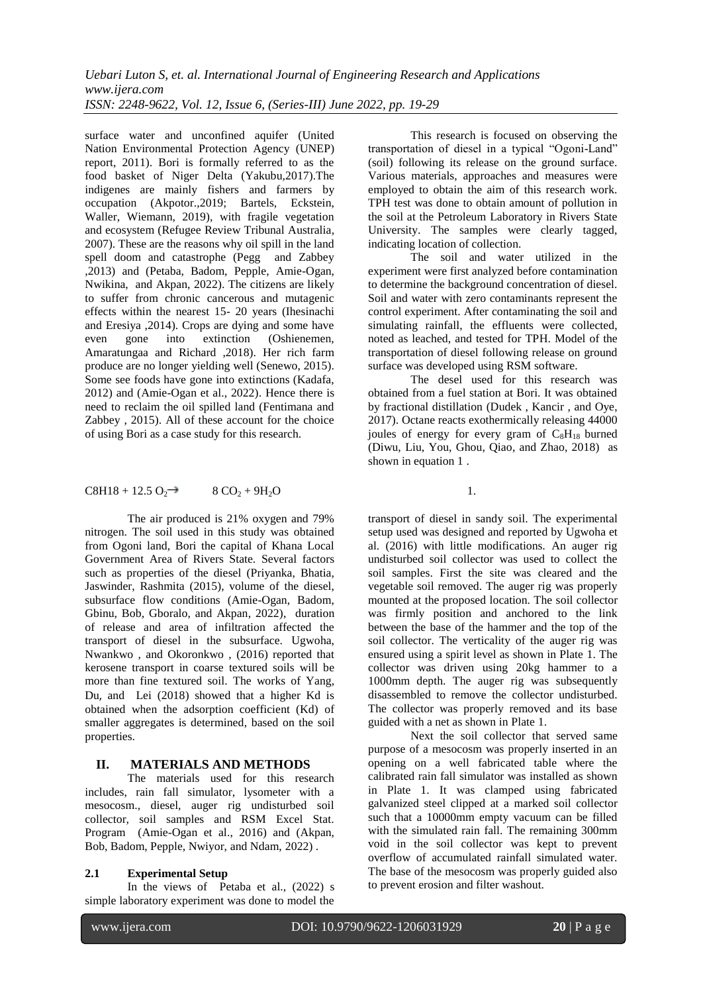surface water and unconfined aquifer (United Nation Environmental Protection Agency (UNEP) report, 2011). Bori is formally referred to as the food basket of Niger Delta (Yakubu,2017).The indigenes are mainly fishers and farmers by occupation (Akpotor.,2019; Bartels, Eckstein, Waller, Wiemann, 2019), with fragile vegetation and ecosystem (Refugee Review Tribunal Australia, 2007). These are the reasons why oil spill in the land spell doom and catastrophe (Pegg and Zabbey ,2013) and (Petaba, Badom, Pepple, Amie-Ogan, Nwikina, and Akpan, 2022). The citizens are likely to suffer from chronic cancerous and mutagenic effects within the nearest 15- 20 years (Ihesinachi and Eresiya , 2014). Crops are dying and some have<br>even gone into extinction (Oshienemen, even gone into extinction (Oshienemen, Amaratungaa and Richard ,2018). Her rich farm produce are no longer yielding well (Senewo, 2015). Some see foods have gone into extinctions (Kadafa, 2012) and (Amie-Ogan et al., 2022). Hence there is need to reclaim the oil spilled land (Fentimana and Zabbey , 2015). All of these account for the choice of using Bori as a case study for this research.

## $C8H18 + 12.5 O_2 \rightarrow 8 CO_2 + 9H_2O$  1.

The air produced is 21% oxygen and 79% nitrogen. The soil used in this study was obtained from Ogoni land, Bori the capital of Khana Local Government Area of Rivers State. Several factors such as properties of the diesel (Priyanka, Bhatia, Jaswinder, Rashmita (2015), volume of the diesel, subsurface flow conditions (Amie-Ogan, Badom, Gbinu, Bob, Gboralo, and Akpan, 2022), duration of release and area of infiltration affected the transport of diesel in the subsurface. Ugwoha, Nwankwo , and Okoronkwo , (2016) reported that kerosene transport in coarse textured soils will be more than fine textured soil. The works of [Yang,](https://www.researchgate.net/profile/Yuesuo_Yang) [Du](https://www.researchgate.net/profile/Xinqiang_Du), and [Lei](https://www.researchgate.net/scientific-contributions/2068225539_Y_Lei) (2018) showed that a higher Kd is obtained when the adsorption coefficient (Kd) of smaller aggregates is determined, based on the soil properties.

## **II. MATERIALS AND METHODS**

The materials used for this research includes, rain fall simulator, lysometer with a mesocosm., diesel, auger rig undisturbed soil collector, soil samples and RSM Excel Stat. Program (Amie-Ogan et al., 2016) and (Akpan, Bob, Badom, Pepple, Nwiyor, and Ndam, 2022) .

## **2.1 Experimental Setup**

In the views of Petaba et al., (2022) s simple laboratory experiment was done to model the

This research is focused on observing the transportation of diesel in a typical "Ogoni-Land" (soil) following its release on the ground surface. Various materials, approaches and measures were employed to obtain the aim of this research work. TPH test was done to obtain amount of pollution in the soil at the Petroleum Laboratory in Rivers State University. The samples were clearly tagged, indicating location of collection.

The soil and water utilized in the experiment were first analyzed before contamination to determine the background concentration of diesel. Soil and water with zero contaminants represent the control experiment. After contaminating the soil and simulating rainfall, the effluents were collected, noted as leached, and tested for TPH. Model of the transportation of diesel following release on ground surface was developed using RSM software.

The desel used for this research was obtained from a fuel station at Bori. It was obtained by fractional distillation (Dudek , Kancir , and Oye, 2017). Octane reacts exothermically releasing 44000 joules of energy for every gram of  $C_8H_{18}$  burned (Diwu, Liu, You, Ghou, Qiao, and Zhao, 2018) as shown in equation 1 .

transport of diesel in sandy soil. The experimental setup used was designed and reported by Ugwoha et al. (2016) with little modifications. An auger rig undisturbed soil collector was used to collect the soil samples. First the site was cleared and the vegetable soil removed. The auger rig was properly mounted at the proposed location. The soil collector was firmly position and anchored to the link between the base of the hammer and the top of the soil collector. The verticality of the auger rig was ensured using a spirit level as shown in Plate 1. The collector was driven using 20kg hammer to a 1000mm depth. The auger rig was subsequently disassembled to remove the collector undisturbed. The collector was properly removed and its base guided with a net as shown in Plate 1.

Next the soil collector that served same purpose of a mesocosm was properly inserted in an opening on a well fabricated table where the calibrated rain fall simulator was installed as shown in Plate 1. It was clamped using fabricated galvanized steel clipped at a marked soil collector such that a 10000mm empty vacuum can be filled with the simulated rain fall. The remaining 300mm void in the soil collector was kept to prevent overflow of accumulated rainfall simulated water. The base of the mesocosm was properly guided also to prevent erosion and filter washout.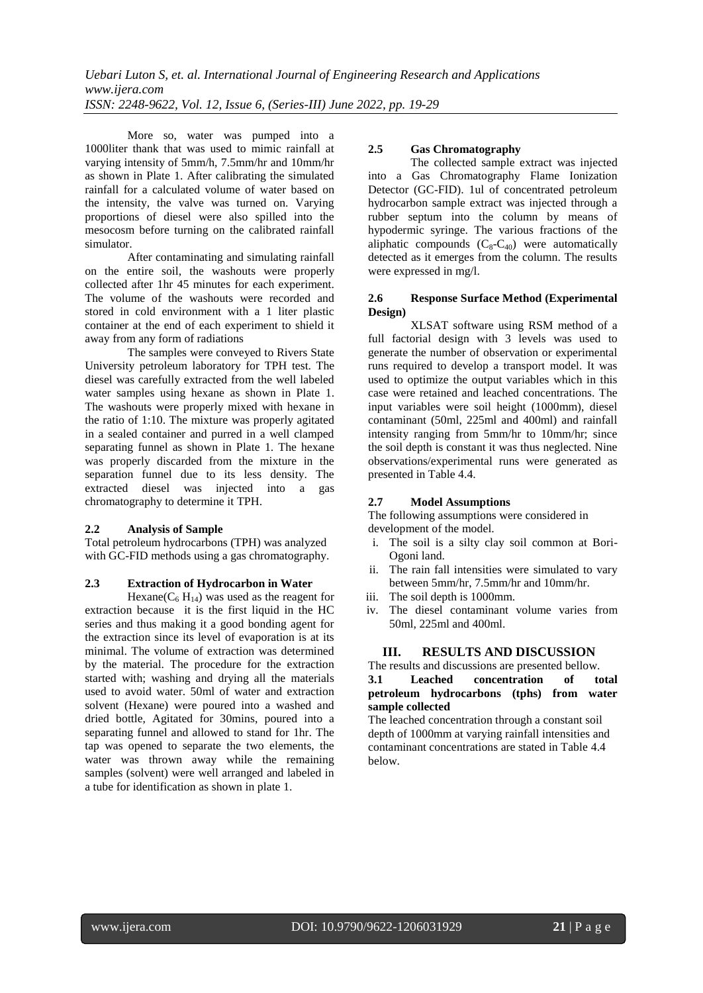More so, water was pumped into a 1000liter thank that was used to mimic rainfall at varying intensity of 5mm/h, 7.5mm/hr and 10mm/hr as shown in Plate 1. After calibrating the simulated rainfall for a calculated volume of water based on the intensity, the valve was turned on. Varying proportions of diesel were also spilled into the mesocosm before turning on the calibrated rainfall simulator.

After contaminating and simulating rainfall on the entire soil, the washouts were properly collected after 1hr 45 minutes for each experiment. The volume of the washouts were recorded and stored in cold environment with a 1 liter plastic container at the end of each experiment to shield it away from any form of radiations

The samples were conveyed to Rivers State University petroleum laboratory for TPH test. The diesel was carefully extracted from the well labeled water samples using hexane as shown in Plate 1. The washouts were properly mixed with hexane in the ratio of 1:10. The mixture was properly agitated in a sealed container and purred in a well clamped separating funnel as shown in Plate 1. The hexane was properly discarded from the mixture in the separation funnel due to its less density. The extracted diesel was injected into a gas chromatography to determine it TPH.

## **2.2 Analysis of Sample**

Total petroleum hydrocarbons (TPH) was analyzed with GC-FID methods using a gas chromatography.

#### **2.3 Extraction of Hydrocarbon in Water**

Hexane( $C_6$  H<sub>14</sub>) was used as the reagent for extraction because it is the first liquid in the HC series and thus making it a good bonding agent for the extraction since its level of evaporation is at its minimal. The volume of extraction was determined by the material. The procedure for the extraction started with; washing and drying all the materials used to avoid water. 50ml of water and extraction solvent (Hexane) were poured into a washed and dried bottle, Agitated for 30mins, poured into a separating funnel and allowed to stand for 1hr. The tap was opened to separate the two elements, the water was thrown away while the remaining samples (solvent) were well arranged and labeled in a tube for identification as shown in plate 1.

## **2.5 Gas Chromatography**

The collected sample extract was injected into a Gas Chromatography Flame Ionization Detector (GC-FID). 1ul of concentrated petroleum hydrocarbon sample extract was injected through a rubber septum into the column by means of hypodermic syringe. The various fractions of the aliphatic compounds  $(C_8-C_{40})$  were automatically detected as it emerges from the column. The results were expressed in mg/l.

### **2.6 Response Surface Method (Experimental Design)**

XLSAT software using RSM method of a full factorial design with 3 levels was used to generate the number of observation or experimental runs required to develop a transport model. It was used to optimize the output variables which in this case were retained and leached concentrations. The input variables were soil height (1000mm), diesel contaminant (50ml, 225ml and 400ml) and rainfall intensity ranging from 5mm/hr to 10mm/hr; since the soil depth is constant it was thus neglected. Nine observations/experimental runs were generated as presented in Table 4.4.

## **2.7 Model Assumptions**

The following assumptions were considered in development of the model.

- i. The soil is a silty clay soil common at Bori-Ogoni land.
- ii. The rain fall intensities were simulated to vary between 5mm/hr, 7.5mm/hr and 10mm/hr.
- iii. The soil depth is 1000mm.
- iv. The diesel contaminant volume varies from 50ml, 225ml and 400ml.

## **III. RESULTS AND DISCUSSION**

The results and discussions are presented bellow.

## **3.1 Leached concentration of total petroleum hydrocarbons (tphs) from water sample collected**

The leached concentration through a constant soil depth of 1000mm at varying rainfall intensities and contaminant concentrations are stated in Table 4.4 below.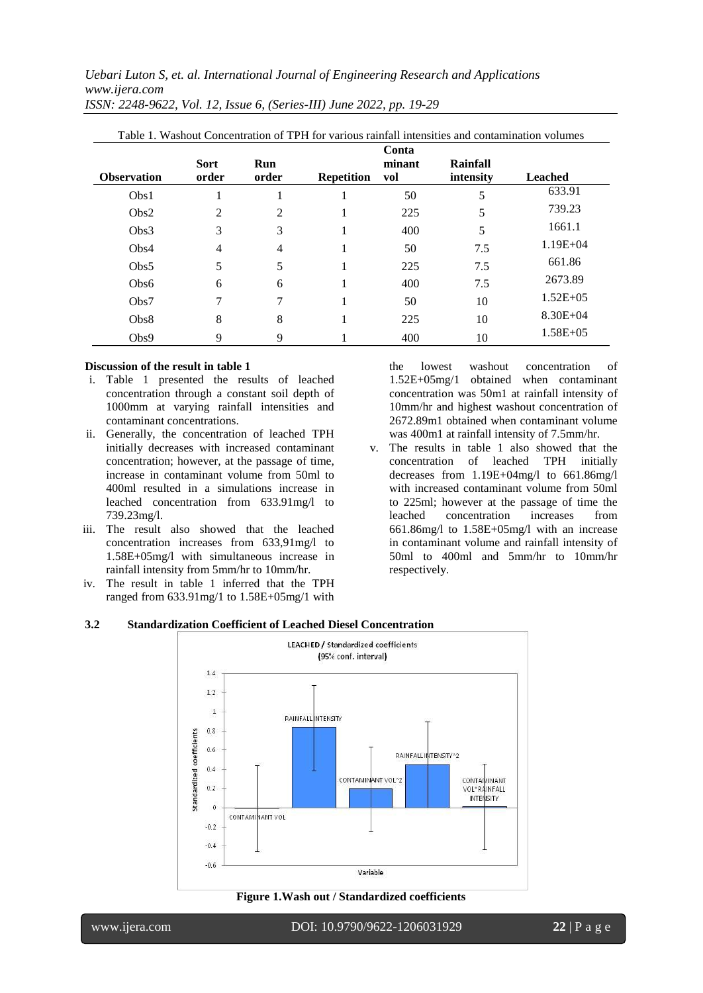*Uebari Luton S, et. al. International Journal of Engineering Research and Applications www.ijera.com*

| <b>Observation</b> | <b>Sort</b><br>order | <b>Run</b><br>order | <b>Repetition</b> | Conta<br>minant<br>vol | Rainfall<br>intensity | <b>Leached</b> |
|--------------------|----------------------|---------------------|-------------------|------------------------|-----------------------|----------------|
| Obs1               |                      |                     |                   | 50                     | 5                     | 633.91         |
| Obs2               | 2                    | 2                   |                   | 225                    | 5                     | 739.23         |
| Obs3               | 3                    | 3                   |                   | 400                    | 5                     | 1661.1         |
| Obs4               | $\overline{4}$       | 4                   |                   | 50                     | 7.5                   | $1.19E + 04$   |
| Obs5               | 5                    | 5                   |                   | 225                    | 7.5                   | 661.86         |
| Obs6               | 6                    | 6                   |                   | 400                    | 7.5                   | 2673.89        |
| Obs7               | 7                    | 7                   |                   | 50                     | 10                    | $1.52E + 05$   |
| Obs8               | 8                    | 8                   |                   | 225                    | 10                    | $8.30E + 04$   |
| Obs9               | 9                    | 9                   |                   | 400                    | 10                    | $1.58E + 05$   |

*ISSN: 2248-9622, Vol. 12, Issue 6, (Series-III) June 2022, pp. 19-29*

#### **Discussion of the result in table 1**

- i. Table 1 presented the results of leached concentration through a constant soil depth of 1000mm at varying rainfall intensities and contaminant concentrations.
- ii. Generally, the concentration of leached TPH initially decreases with increased contaminant concentration; however, at the passage of time, increase in contaminant volume from 50ml to 400ml resulted in a simulations increase in leached concentration from 633.91mg/l to 739.23mg/l.
- iii. The result also showed that the leached concentration increases from 633,91mg/l to 1.58E+05mg/l with simultaneous increase in rainfall intensity from 5mm/hr to 10mm/hr.
- iv. The result in table 1 inferred that the TPH ranged from 633.91mg/1 to 1.58E+05mg/1 with

the lowest washout concentration of 1.52E+05mg/1 obtained when contaminant concentration was 50m1 at rainfall intensity of 10mm/hr and highest washout concentration of 2672.89m1 obtained when contaminant volume was 400m1 at rainfall intensity of 7.5mm/hr.

v. The results in table 1 also showed that the concentration of leached TPH initially decreases from 1.19E+04mg/l to 661.86mg/l with increased contaminant volume from 50ml to 225ml; however at the passage of time the leached concentration increases from 661.86mg/l to 1.58E+05mg/l with an increase in contaminant volume and rainfall intensity of 50ml to 400ml and 5mm/hr to 10mm/hr respectively.

#### **3.2 Standardization Coefficient of Leached Diesel Concentration**



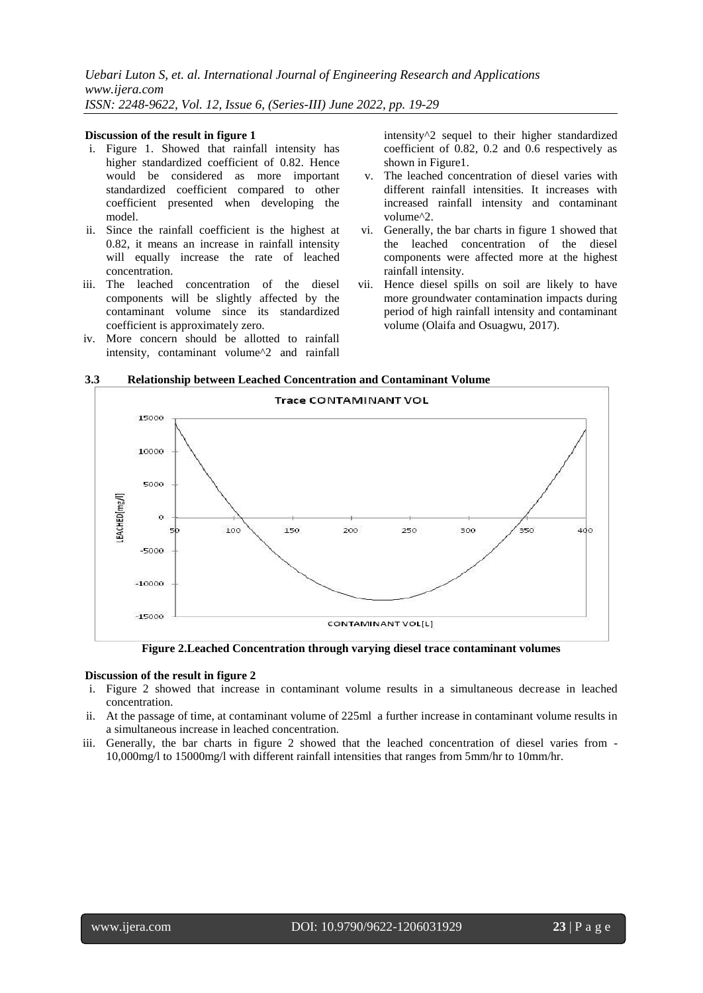#### **Discussion of the result in figure 1**

- i. Figure 1. Showed that rainfall intensity has higher standardized coefficient of 0.82. Hence would be considered as more important standardized coefficient compared to other coefficient presented when developing the model.
- ii. Since the rainfall coefficient is the highest at 0.82, it means an increase in rainfall intensity will equally increase the rate of leached concentration.
- iii. The leached concentration of the diesel components will be slightly affected by the contaminant volume since its standardized coefficient is approximately zero.
- iv. More concern should be allotted to rainfall intensity, contaminant volume^2 and rainfall

intensity^2 sequel to their higher standardized coefficient of 0.82, 0.2 and 0.6 respectively as shown in Figure1.

- v. The leached concentration of diesel varies with different rainfall intensities. It increases with increased rainfall intensity and contaminant volume^2.
- vi. Generally, the bar charts in figure 1 showed that the leached concentration of the diesel components were affected more at the highest rainfall intensity.
- vii. Hence diesel spills on soil are likely to have more groundwater contamination impacts during period of high rainfall intensity and contaminant volume (Olaifa and Osuagwu, 2017).

## **3.3 Relationship between Leached Concentration and Contaminant Volume**



**Figure 2.Leached Concentration through varying diesel trace contaminant volumes**

#### **Discussion of the result in figure 2**

- i. Figure 2 showed that increase in contaminant volume results in a simultaneous decrease in leached concentration.
- ii. At the passage of time, at contaminant volume of 225ml a further increase in contaminant volume results in a simultaneous increase in leached concentration.
- iii. Generally, the bar charts in figure 2 showed that the leached concentration of diesel varies from 10,000mg/l to 15000mg/l with different rainfall intensities that ranges from 5mm/hr to 10mm/hr.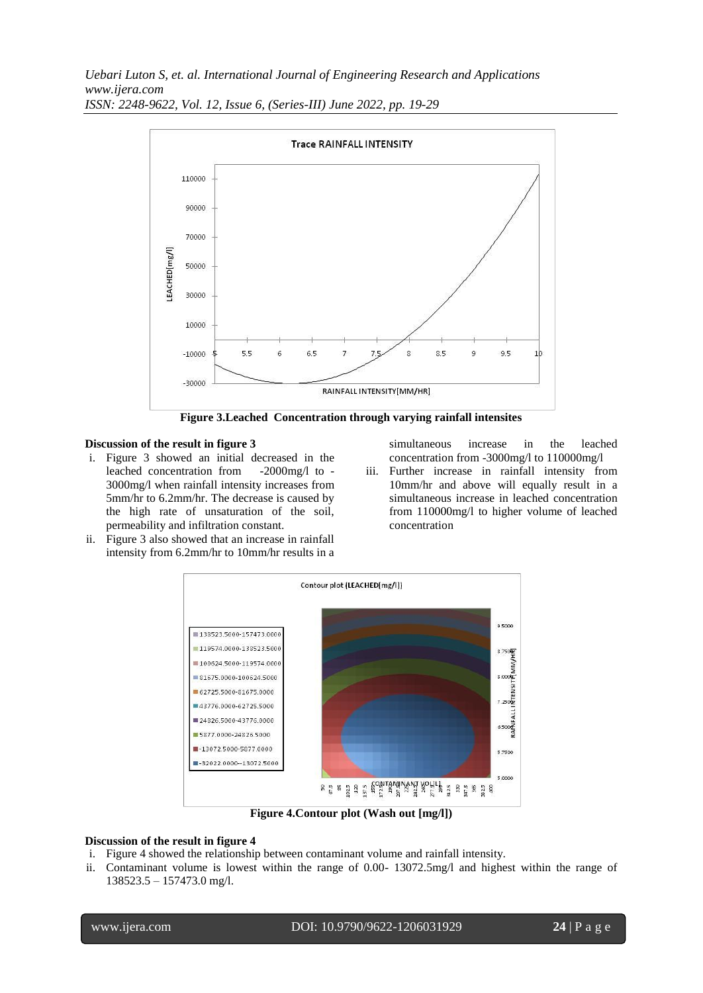

**Figure 3.Leached Concentration through varying rainfall intensites**

### **Discussion of the result in figure 3**

- i. Figure 3 showed an initial decreased in the leached concentration from -2000mg/l to - 3000mg/l when rainfall intensity increases from 5mm/hr to 6.2mm/hr. The decrease is caused by the high rate of unsaturation of the soil, permeability and infiltration constant.
- ii. Figure 3 also showed that an increase in rainfall intensity from 6.2mm/hr to 10mm/hr results in a

simultaneous increase in the leached concentration from -3000mg/l to 110000mg/l

iii. Further increase in rainfall intensity from 10mm/hr and above will equally result in a simultaneous increase in leached concentration from 110000mg/l to higher volume of leached concentration



**Figure 4.Contour plot (Wash out [mg/l])**

#### **Discussion of the result in figure 4**

- i. Figure 4 showed the relationship between contaminant volume and rainfall intensity.
- ii. Contaminant volume is lowest within the range of 0.00- 13072.5mg/l and highest within the range of 138523.5 – 157473.0 mg/l.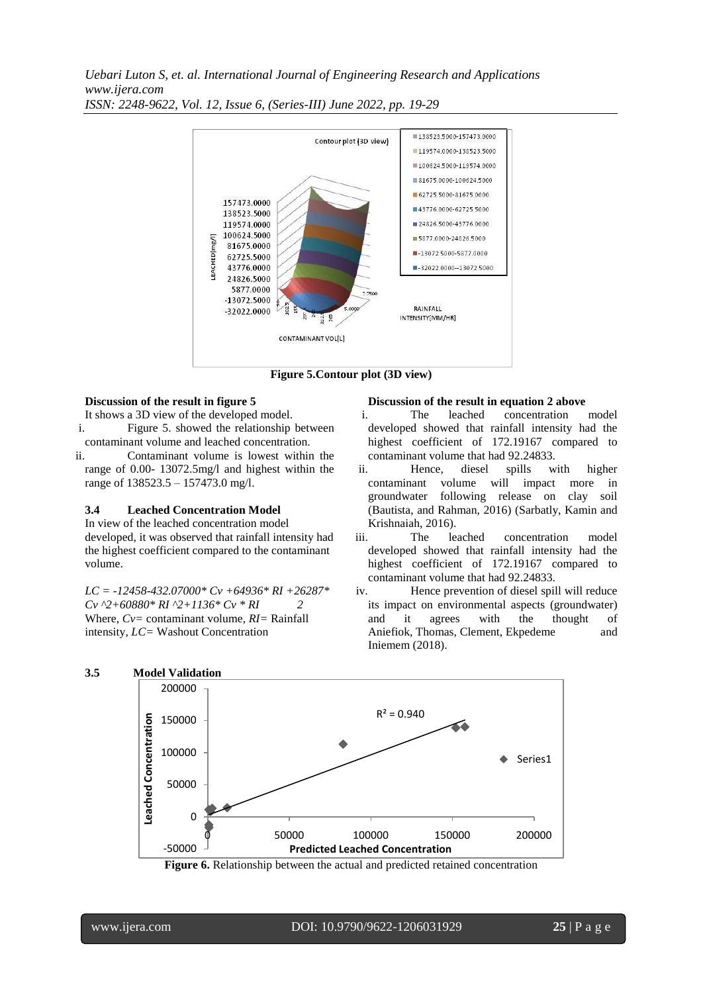

**Figure 5.Contour plot (3D view)**

### **Discussion of the result in figure 5**

It shows a 3D view of the developed model.

- i. Figure 5. showed the relationship between contaminant volume and leached concentration.
- ii. Contaminant volume is lowest within the range of 0.00- 13072.5mg/l and highest within the range of 138523.5 – 157473.0 mg/l.

#### **3.4 Leached Concentration Model**

In view of the leached concentration model developed, it was observed that rainfall intensity had the highest coefficient compared to the contaminant volume.

*LC = -12458-432.07000\* Cv +64936\* RI +26287\* Cv ^2+60880\* RI ^2+1136\* Cv \* RI 2* Where, *Cv=* contaminant volume, *RI=* Rainfall intensity, *LC=* Washout Concentration

#### **Discussion of the result in equation 2 above**

- i. The leached concentration model developed showed that rainfall intensity had the highest coefficient of 172.19167 compared to contaminant volume that had 92.24833.
- ii. Hence, diesel spills with higher contaminant volume will impact more in groundwater following release on clay soil (Bautista, and Rahman, 2016) (Sarbatly, Kamin and Krishnaiah, 2016).
- iii. The leached concentration model developed showed that rainfall intensity had the highest coefficient of 172.19167 compared to contaminant volume that had 92.24833.
- iv. Hence prevention of diesel spill will reduce its impact on environmental aspects (groundwater) and it agrees with the thought of Aniefiok, Thomas, Clement, Ekpedeme and Iniemem (2018).



**Figure 6.** Relationship between the actual and predicted retained concentration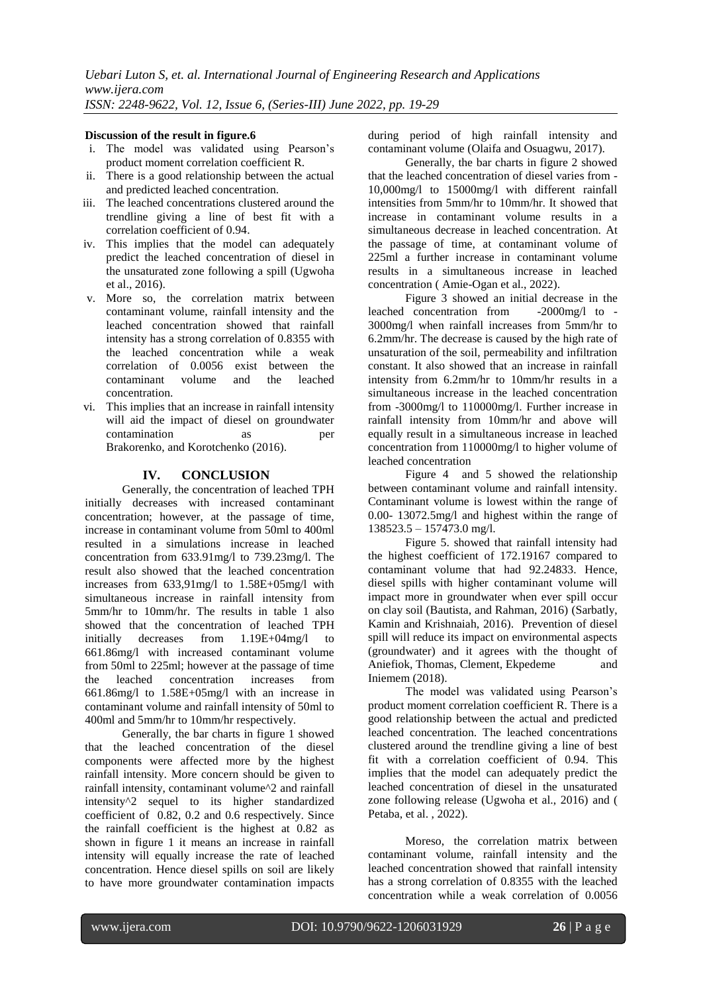## **Discussion of the result in figure.6**

- i. The model was validated using Pearson's product moment correlation coefficient R.
- ii. There is a good relationship between the actual and predicted leached concentration.
- iii. The leached concentrations clustered around the trendline giving a line of best fit with a correlation coefficient of 0.94.
- iv. This implies that the model can adequately predict the leached concentration of diesel in the unsaturated zone following a spill (Ugwoha et al., 2016).
- v. More so, the correlation matrix between contaminant volume, rainfall intensity and the leached concentration showed that rainfall intensity has a strong correlation of 0.8355 with the leached concentration while a weak correlation of 0.0056 exist between the contaminant volume and the leached concentration.
- vi. This implies that an increase in rainfall intensity will aid the impact of diesel on groundwater contamination as per Brakorenko, and Korotchenko (2016).

## **IV. CONCLUSION**

Generally, the concentration of leached TPH initially decreases with increased contaminant concentration; however, at the passage of time, increase in contaminant volume from 50ml to 400ml resulted in a simulations increase in leached concentration from 633.91mg/l to 739.23mg/l. The result also showed that the leached concentration increases from 633,91mg/l to 1.58E+05mg/l with simultaneous increase in rainfall intensity from 5mm/hr to 10mm/hr. The results in table 1 also showed that the concentration of leached TPH initially decreases from 1.19E+04mg/l to 661.86mg/l with increased contaminant volume from 50ml to 225ml; however at the passage of time the leached concentration increases from 661.86mg/l to 1.58E+05mg/l with an increase in contaminant volume and rainfall intensity of 50ml to 400ml and 5mm/hr to 10mm/hr respectively.

Generally, the bar charts in figure 1 showed that the leached concentration of the diesel components were affected more by the highest rainfall intensity. More concern should be given to rainfall intensity, contaminant volume^2 and rainfall intensity^2 sequel to its higher standardized coefficient of 0.82, 0.2 and 0.6 respectively. Since the rainfall coefficient is the highest at 0.82 as shown in figure 1 it means an increase in rainfall intensity will equally increase the rate of leached concentration. Hence diesel spills on soil are likely to have more groundwater contamination impacts during period of high rainfall intensity and contaminant volume (Olaifa and Osuagwu, 2017).

Generally, the bar charts in figure 2 showed that the leached concentration of diesel varies from - 10,000mg/l to 15000mg/l with different rainfall intensities from 5mm/hr to 10mm/hr. It showed that increase in contaminant volume results in a simultaneous decrease in leached concentration. At the passage of time, at contaminant volume of 225ml a further increase in contaminant volume results in a simultaneous increase in leached concentration ( Amie-Ogan et al., 2022).

Figure 3 showed an initial decrease in the<br>concentration from -2000mg/l to leached concentration from 3000mg/l when rainfall increases from 5mm/hr to 6.2mm/hr. The decrease is caused by the high rate of unsaturation of the soil, permeability and infiltration constant. It also showed that an increase in rainfall intensity from 6.2mm/hr to 10mm/hr results in a simultaneous increase in the leached concentration from -3000mg/l to 110000mg/l. Further increase in rainfall intensity from 10mm/hr and above will equally result in a simultaneous increase in leached concentration from 110000mg/l to higher volume of leached concentration

Figure 4 and 5 showed the relationship between contaminant volume and rainfall intensity. Contaminant volume is lowest within the range of 0.00- 13072.5mg/l and highest within the range of 138523.5 – 157473.0 mg/l.

Figure 5. showed that rainfall intensity had the highest coefficient of 172.19167 compared to contaminant volume that had 92.24833. Hence, diesel spills with higher contaminant volume will impact more in groundwater when ever spill occur on clay soil (Bautista, and Rahman, 2016) (Sarbatly, Kamin and Krishnaiah, 2016). Prevention of diesel spill will reduce its impact on environmental aspects (groundwater) and it agrees with the thought of Aniefiok, Thomas, Clement, Ekpedeme and Iniemem (2018).

The model was validated using Pearson's product moment correlation coefficient R. There is a good relationship between the actual and predicted leached concentration. The leached concentrations clustered around the trendline giving a line of best fit with a correlation coefficient of 0.94. This implies that the model can adequately predict the leached concentration of diesel in the unsaturated zone following release (Ugwoha et al., 2016) and ( Petaba, et al. , 2022).

Moreso, the correlation matrix between contaminant volume, rainfall intensity and the leached concentration showed that rainfall intensity has a strong correlation of 0.8355 with the leached concentration while a weak correlation of 0.0056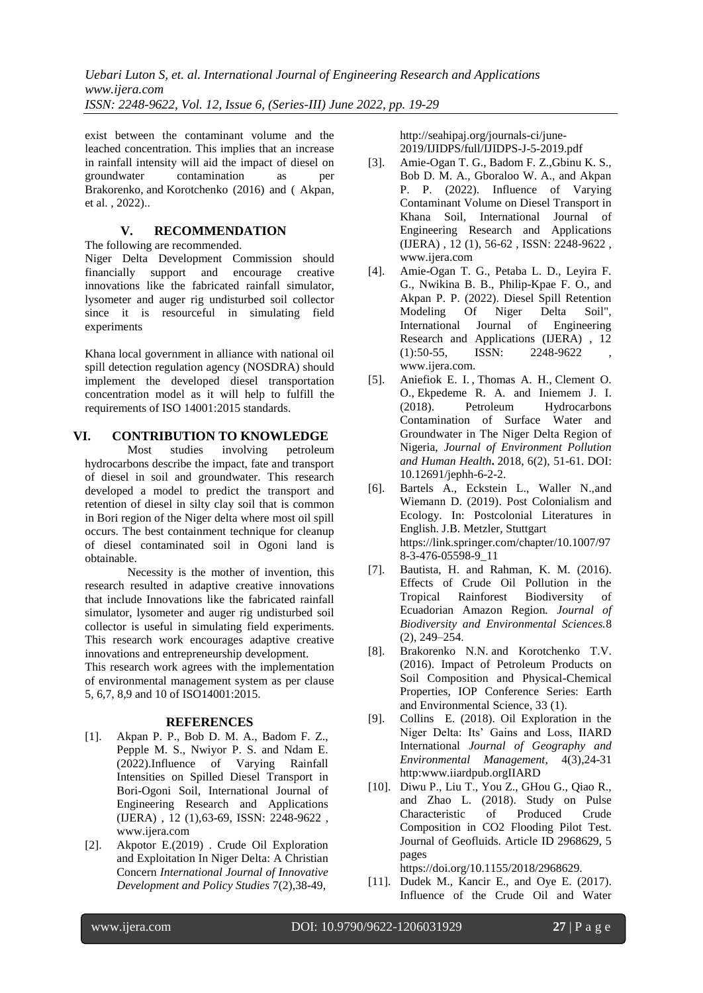exist between the contaminant volume and the leached concentration. This implies that an increase in rainfall intensity will aid the impact of diesel on<br>groundwater contamination as per contamination as per Brakorenko, and Korotchenko (2016) and ( Akpan, et al. , 2022)..

# **V. RECOMMENDATION**

The following are recommended.

Niger Delta Development Commission should financially support and encourage creative innovations like the fabricated rainfall simulator, lysometer and auger rig undisturbed soil collector since it is resourceful in simulating field experiments

Khana local government in alliance with national oil spill detection regulation agency (NOSDRA) should implement the developed diesel transportation concentration model as it will help to fulfill the requirements of ISO 14001:2015 standards.

# **VI. CONTRIBUTION TO KNOWLEDGE**

Most studies involving petroleum hydrocarbons describe the impact, fate and transport of diesel in soil and groundwater. This research developed a model to predict the transport and retention of diesel in silty clay soil that is common in Bori region of the Niger delta where most oil spill occurs. The best containment technique for cleanup of diesel contaminated soil in Ogoni land is obtainable.

Necessity is the mother of invention, this research resulted in adaptive creative innovations that include Innovations like the fabricated rainfall simulator, lysometer and auger rig undisturbed soil collector is useful in simulating field experiments. This research work encourages adaptive creative innovations and entrepreneurship development. This research work agrees with the implementation

of environmental management system as per clause 5, 6,7, 8,9 and 10 of ISO14001:2015.

## **REFERENCES**

- [1]. Akpan P. P., Bob D. M. A., Badom F. Z., Pepple M. S., Nwiyor P. S. and Ndam E. (2022).Influence of Varying Rainfall Intensities on Spilled Diesel Transport in Bori-Ogoni Soil, International Journal of Engineering Research and Applications (IJERA) , 12 (1),63-69, ISSN: 2248-9622 , [www.ijera.com](http://www.ijera.com/)
- [2]. Akpotor E.(2019) . Crude Oil Exploration and Exploitation In Niger Delta: A Christian Concern *International Journal of Innovative Development and Policy Studies* 7(2),38-49,

[http://seahipaj.org/journals-ci/june-](http://seahipaj.org/journals-ci/june-2019/IJIDPS/full/IJIDPS-J-5-2019.pdf)[2019/IJIDPS/full/IJIDPS-J-5-2019.pdf](http://seahipaj.org/journals-ci/june-2019/IJIDPS/full/IJIDPS-J-5-2019.pdf)

- [3]. Amie-Ogan T. G., Badom F. Z.,Gbinu K. S., Bob D. M. A., Gboraloo W. A., and Akpan P. P. (2022). Influence of Varying Contaminant Volume on Diesel Transport in Khana Soil, International Journal of Engineering Research and Applications (IJERA) , 12 (1), 56-62 , ISSN: 2248-9622 , www.ijera.com
- [4]. Amie-Ogan T. G., Petaba L. D., Leyira F. G., Nwikina B. B., Philip-Kpae F. O., and Akpan P. P. (2022). Diesel Spill Retention Modeling Of Niger Delta Soil", International Journal of Engineering Research and Applications (IJERA) , 12  $(1):50-55$ , ISSN: 2248-9622 [www.ijera.com.](http://www.ijera.com/)
- [5]. Aniefiok E. I. [,](http://pubs.sciepub.com/jephh/6/2/2/#Cor) Thomas A. H., Clement O. O., Ekpedeme R. A. and Iniemem J. I. (2018). Petroleum Hydrocarbons Contamination of Surface Water and Groundwater in The Niger Delta Region of Nigeria, *Journal of Environment Pollution and Human Health***.** 2018, 6(2), 51-61. DOI: 10.12691/jephh-6-2-2.
- [6]. Bartels A., Eckstein L., Waller N.,and Wiemann D. (2019). Post Colonialism and Ecology. In: Postcolonial Literatures in English. J.B. Metzler, Stuttgart [https://link.springer.com/chapter/10.1007/97](https://link.springer.com/chapter/10.1007/978-3-476-05598-9_11) [8-3-476-05598-9\\_11](https://link.springer.com/chapter/10.1007/978-3-476-05598-9_11)
- [7]. Bautista, H. and Rahman, K. M. (2016). Effects of Crude Oil Pollution in the Tropical Rainforest Biodiversity of Ecuadorian Amazon Region*. Journal of Biodiversity and Environmental Sciences.*8 (2), 249–254.
- [8]. Brakorenko N.N. and Korotchenko T.V. (2016). Impact of Petroleum Products on Soil Composition and Physical-Chemical Properties, [IOP Conference Series: Earth](http://iopscience.iop.org/journal/1755-1315)  [and Environmental Science,](http://iopscience.iop.org/journal/1755-1315) [33](http://iopscience.iop.org/volume/1755-1315/33) (1).
- [9]. Collins E. (2018). Oil Exploration in the Niger Delta: Its' Gains and Loss, IIARD International *Journal of Geography and Environmental Management*, 4(3),24-31 http:www.iiardpub.orgIIARD
- [10]. Diwu P., Liu T., You Z., GHou G., Qiao R., and Zhao L. (2018). Study on Pulse Characteristic of Produced Crude Composition in CO2 Flooding Pilot Test. Journal of Geofluids. Article ID 2968629, 5 pages

https://doi.org/10.1155/2018/2968629.

[11]. Dudek M., Kancir E., and Oye E. (2017). Influence of the Crude Oil and Water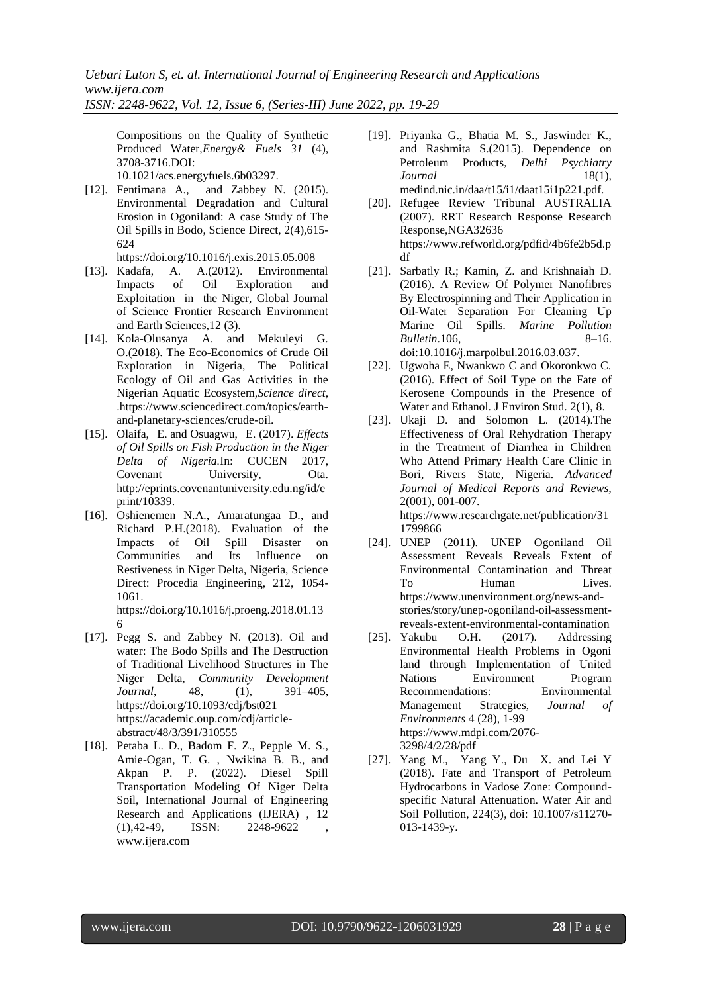Compositions on the Quality of Synthetic Produced Water,*Energy& Fuels 31* (4), 3708-3716.DOI: 10.1021/acs.energyfuels.6b03297.

[12]. Fentimana A., and Zabbey N. (2015). Environmental Degradation and Cultural Erosion in Ogoniland: A case Study of The Oil Spills in Bodo, Science Direct, 2(4),615- 624

https://doi.org/10.1016/j.exis.2015.05.008

- [13]. Kadafa, A. A.(2012). Environmental Impacts of Oil Exploration and Exploitation in the Niger, Global Journal of Science Frontier Research Environment and Earth Sciences,12 (3).
- [14]. Kola-Olusanya A. and Mekuleyi G. O.(2018). [The Eco-Economics of Crude Oil](https://www.sciencedirect.com/science/article/pii/B9780128093993000148)  [Exploration in Nigeria,](https://www.sciencedirect.com/science/article/pii/B9780128093993000148) [The Political](https://www.sciencedirect.com/science/book/9780128093993)  [Ecology of Oil and Gas Activities in the](https://www.sciencedirect.com/science/book/9780128093993)  [Nigerian Aquatic Ecosystem](https://www.sciencedirect.com/science/book/9780128093993)*,Science direct,*  .https://www.sciencedirect.com/topics/earthand-planetary-sciences/crude-oil.
- [15]. Olaifa, E. and Osuagwu, E. (2017). *Effects of Oil Spills on Fish Production in the Niger Delta of Nigeria.*In: CUCEN 2017, Covenant University, Ota. [http://eprints.covenantuniversity.edu.ng/id/e](http://eprints.covenantuniversity.edu.ng/id/eprint/10339) [print/10339.](http://eprints.covenantuniversity.edu.ng/id/eprint/10339)
- [16]. Oshienemen N.A., Amaratungaa D., and Richard P.H.(2018). Evaluation of the Impacts of Oil Spill Disaster on Communities and Its Influence on Restiveness in Niger Delta, Nigeria, Science Direct: Procedia Engineering, 212, 1054- 1061. [https://doi.org/10.1016/j.proeng.2018.01.13](https://doi.org/10.1016/j.proeng.2018.01.136)
- [17]. Pegg S. and Zabbey N. (2013). Oil and water: The Bodo Spills and The Destruction of Traditional Livelihood Structures in The Niger Delta, *Community Development Journal*, 48, (1), 391–405, <https://doi.org/10.1093/cdj/bst021> [https://academic.oup.com/cdj/article](https://academic.oup.com/cdj/article-abstract/48/3/391/310555)[abstract/48/3/391/310555](https://academic.oup.com/cdj/article-abstract/48/3/391/310555)
- [18]. Petaba L. D., Badom F. Z., Pepple M. S., Amie-Ogan, T. G. , Nwikina B. B., and Akpan P. P. (2022). Diesel Spill Transportation Modeling Of Niger Delta Soil, International Journal of Engineering Research and Applications (IJERA) , 12  $(1), 42-49,$  ISSN:  $2248-9622$ www.ijera.com
- [19]. Priyanka G., Bhatia M. S., Jaswinder K., and Rashmita S.(2015). Dependence on Petroleum Products, *Delhi Psychiatry Journal* 18(1), medind.nic.in/daa/t15/i1/daat15i1p221.pdf.
- [20]. Refugee Review Tribunal AUSTRALIA (2007). RRT Research Response Research Response,NGA32636 [https://www.refworld.org/pdfid/4b6fe2b5d.p](https://www.refworld.org/pdfid/4b6fe2b5d.pdf) [df](https://www.refworld.org/pdfid/4b6fe2b5d.pdf)
- [21]. Sarbatly R.; Kamin, Z. and Krishnaiah D. (2016). A Review Of Polymer Nanofibres By Electrospinning and Their Application in Oil-Water Separation For Cleaning Up Marine Oil Spills*. Marine Pollution Bulletin*.106, 8–16. [doi](https://en.wikipedia.org/wiki/Digital_object_identifier)[:10.1016/j.marpolbul.2016.03.037.](https://doi.org/10.1016/j.marpolbul.2016.03.037)
- [22]. Ugwoha E, Nwankwo C and Okoronkwo C. (2016). Effect of Soil Type on the Fate of Kerosene Compounds in the Presence of Water and Ethanol. J Environ Stud. 2(1), 8.
- [23]. Ukaji D. and Solomon L. (2014).The Effectiveness of Oral Rehydration Therapy in the Treatment of Diarrhea in Children Who Attend Primary Health Care Clinic in Bori, Rivers State, Nigeria. *Advanced Journal of Medical Reports and Reviews,* 2(001), 001-007. [https://www.researchgate.net/publication/31](https://www.researchgate.net/publication/311799866)

[1799866](https://www.researchgate.net/publication/311799866)

- [24]. UNEP (2011). UNEP Ogoniland Oil Assessment Reveals Reveals Extent of Environmental Contamination and Threat To Human Lives. https://www.unenvironment.org/news-andstories/story/unep-ogoniland-oil-assessmentreveals-extent-environmental-contamination
- [25]. Yakubu O.H. (2017). Addressing Environmental Health Problems in Ogoni land through Implementation of United Nations Environment Program Recommendations: Environmental Management Strategies, *Journal of Environments* 4 (28), 1-99 [https://www.mdpi.com/2076-](https://www.mdpi.com/2076-3298/4/2/28/pdf) [3298/4/2/28/pdf](https://www.mdpi.com/2076-3298/4/2/28/pdf)
- [\[27\].](https://www.mdpi.com/2076-3298/4/2/28/pdf) [Yang](https://www.mdpi.com/2076-3298/4/2/28/pdf) M., [Yang](https://www.researchgate.net/profile/Yuesuo_Yang) Y., [Du](https://www.researchgate.net/profile/Xinqiang_Du) X. and [Lei](https://www.researchgate.net/scientific-contributions/2068225539_Y_Lei) Y (2018). Fate and Transport of Petroleum Hydrocarbons in Vadose Zone: Compoundspecific Natural Attenuation. [Water Air and](https://www.researchgate.net/journal/0049-6979_Water_Air_and_Soil_Pollution)  [Soil Pollution,](https://www.researchgate.net/journal/0049-6979_Water_Air_and_Soil_Pollution) 224(3), doi: 10.1007/s11270- 013-1439-y.

[6](https://doi.org/10.1016/j.proeng.2018.01.136)